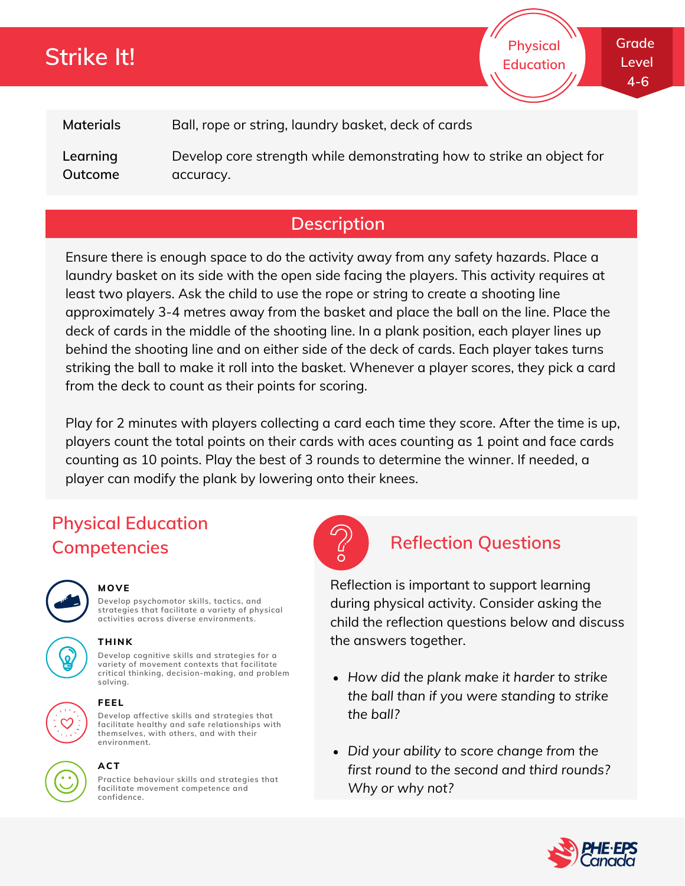# **Strike It!**

**Grade Level 4-6**

**Physical Education**

**Materials** Ball, rope or string, laundry basket, deck of cards

**Learning Outcome** Develop core strength while demonstrating how to strike an object for accuracy.

## **Description**

Ensure there is enough space to do the activity away from any safety hazards. Place a laundry basket on its side with the open side facing the players. This activity requires at least two players. Ask the child to use the rope or string to create a shooting line approximately 3-4 metres away from the basket and place the ball on the line. Place the deck of cards in the middle of the shooting line. In a plank position, each player lines up behind the shooting line and on either side of the deck of cards. Each player takes turns striking the ball to make it roll into the basket. Whenever a player scores, they pick a card from the deck to count as their points for scoring.

Play for 2 minutes with players collecting a card each time they score. After the time is up, players count the total points on their cards with aces counting as 1 point and face cards counting as 10 points. Play the best of 3 rounds to determine the winner. If needed, a player can modify the plank by lowering onto their knees.

## **Physical Education Competencies Reflection Questions**



#### **MOVE**

**Develop psychomotor skills, tactics, and strategies that facilitate a variety of physical activities across diverse environments.**

**Develop cognitive skills and strategies for a variety of movement contexts that facilitate critical thinking, decision-making, and problem**



**THINK**





### **solving. FEEL**

**Develop affective skills and strategies that facilitate healthy and safe relationships with themselves, with others, and with their environment.**



### **ACT**

**Practice behaviour skills and strategies that facilitate movement competence and confidence.**



Reflection is important to support learning during physical activity. Consider asking the child the reflection questions below and discuss the answers together.

- *How did the plank make it harder to strike the ball than if you were standing to strike the ball?*
- *Did your ability to score change from the first round to the second and third rounds? Why or why not?*